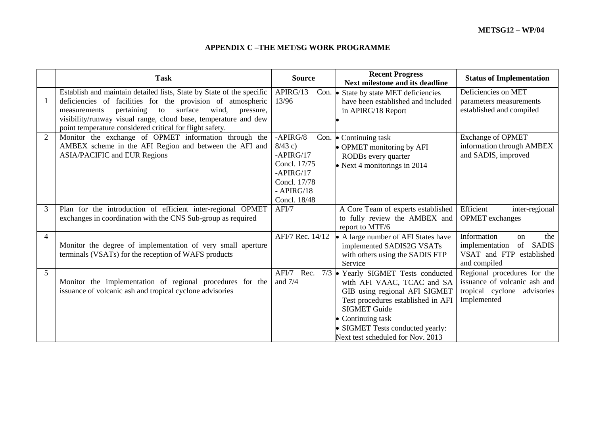## **APPENDIX C –THE MET/SG WORK PROGRAMME**

|                | <b>Task</b>                                                                                                                                                                                                                                                                                                                              | <b>Source</b>                                                                                                         | <b>Recent Progress</b><br><b>Next milestone and its deadline</b>                                                                                                                                                                                                | <b>Status of Implementation</b>                                                                               |
|----------------|------------------------------------------------------------------------------------------------------------------------------------------------------------------------------------------------------------------------------------------------------------------------------------------------------------------------------------------|-----------------------------------------------------------------------------------------------------------------------|-----------------------------------------------------------------------------------------------------------------------------------------------------------------------------------------------------------------------------------------------------------------|---------------------------------------------------------------------------------------------------------------|
| 1              | Establish and maintain detailed lists, State by State of the specific<br>deficiencies of facilities for the provision of atmospheric<br>surface<br>pertaining<br>wind,<br>to<br>pressure,<br>measurements<br>visibility/runway visual range, cloud base, temperature and dew<br>point temperature considered critical for flight safety. | APIRG/13<br>Con. $\bullet$<br>13/96                                                                                   | State by state MET deficiencies<br>have been established and included<br>in APIRG/18 Report                                                                                                                                                                     | Deficiencies on MET<br>parameters measurements<br>established and compiled                                    |
| $\overline{2}$ | Monitor the exchange of OPMET information through the<br>AMBEX scheme in the AFI Region and between the AFI and<br><b>ASIA/PACIFIC and EUR Regions</b>                                                                                                                                                                                   | $-APIRG/8$<br>$8/43$ c)<br>$-APIRG/17$<br>Concl. 17/75<br>$-APIRG/17$<br>Concl. 17/78<br>$-$ APIRG/18<br>Concl. 18/48 | Con. $\bullet$ Continuing task<br>• OPMET monitoring by AFI<br>RODBs every quarter<br>• Next 4 monitorings in $2014$                                                                                                                                            | <b>Exchange of OPMET</b><br>information through AMBEX<br>and SADIS, improved                                  |
| 3              | Plan for the introduction of efficient inter-regional OPMET<br>exchanges in coordination with the CNS Sub-group as required                                                                                                                                                                                                              | AFI/7                                                                                                                 | A Core Team of experts established<br>to fully review the AMBEX and<br>report to MTF/6                                                                                                                                                                          | Efficient<br>inter-regional<br><b>OPMET</b> exchanges                                                         |
| 4              | Monitor the degree of implementation of very small aperture<br>terminals (VSATs) for the reception of WAFS products                                                                                                                                                                                                                      | AFI/7 Rec. 14/12                                                                                                      | • A large number of AFI States have<br>implemented SADIS2G VSATs<br>with others using the SADIS FTP<br>Service                                                                                                                                                  | Information<br>the<br><sub>on</sub><br>of SADIS<br>implementation<br>VSAT and FTP established<br>and compiled |
| 5              | Monitor the implementation of regional procedures for the<br>issuance of volcanic ash and tropical cyclone advisories                                                                                                                                                                                                                    | AFI/7 Rec.<br>and $7/4$                                                                                               | $7/3$ • Yearly SIGMET Tests conducted<br>with AFI VAAC, TCAC and SA<br>GIB using regional AFI SIGMET<br>Test procedures established in AFI<br><b>SIGMET Guide</b><br>• Continuing task<br>• SIGMET Tests conducted yearly:<br>Next test scheduled for Nov. 2013 | Regional procedures for the<br>issuance of volcanic ash and<br>tropical cyclone advisories<br>Implemented     |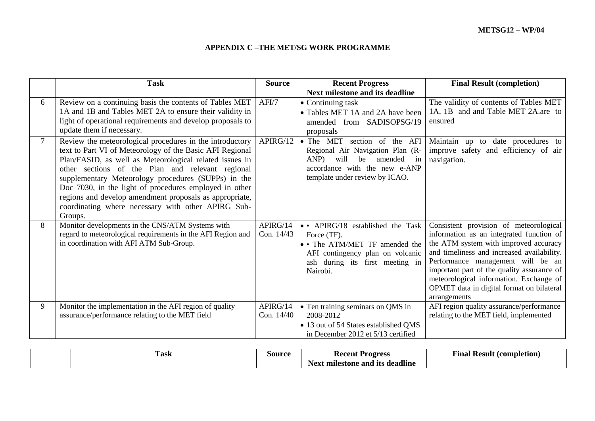## **APPENDIX C –THE MET/SG WORK PROGRAMME**

|        | <b>Task</b>                                                                                                                                                                                                                                                                                                                                                                                                                                                                      | <b>Source</b>          | <b>Recent Progress</b>                                                                                                                                                      | <b>Final Result (completion)</b>                                                                                                                                                                                                                                                                                                                                     |
|--------|----------------------------------------------------------------------------------------------------------------------------------------------------------------------------------------------------------------------------------------------------------------------------------------------------------------------------------------------------------------------------------------------------------------------------------------------------------------------------------|------------------------|-----------------------------------------------------------------------------------------------------------------------------------------------------------------------------|----------------------------------------------------------------------------------------------------------------------------------------------------------------------------------------------------------------------------------------------------------------------------------------------------------------------------------------------------------------------|
|        |                                                                                                                                                                                                                                                                                                                                                                                                                                                                                  |                        | <b>Next milestone and its deadline</b>                                                                                                                                      |                                                                                                                                                                                                                                                                                                                                                                      |
| 6      | Review on a continuing basis the contents of Tables MET<br>1A and 1B and Tables MET 2A to ensure their validity in<br>light of operational requirements and develop proposals to<br>update them if necessary.                                                                                                                                                                                                                                                                    | AFI/7                  | $\bullet$ Continuing task<br>• Tables MET 1A and 2A have been<br>amended from SADISOPSG/19<br>proposals                                                                     | The validity of contents of Tables MET<br>1A, 1B and and Table MET 2A.are to<br>ensured                                                                                                                                                                                                                                                                              |
| $\tau$ | Review the meteorological procedures in the introductory<br>text to Part VI of Meteorology of the Basic AFI Regional<br>Plan/FASID, as well as Meteorological related issues in<br>other sections of the Plan and relevant regional<br>supplementary Meteorology procedures (SUPPs) in the<br>Doc 7030, in the light of procedures employed in other<br>regions and develop amendment proposals as appropriate,<br>coordinating where necessary with other APIRG Sub-<br>Groups. | APIRG/12               | The MET<br>section of the AFI<br>Regional Air Navigation Plan (R-<br>will<br>amended<br>ANP)<br>be<br>in<br>accordance with the new e-ANP<br>template under review by ICAO. | Maintain up to date procedures to<br>improve safety and efficiency of air<br>navigation.                                                                                                                                                                                                                                                                             |
| 8      | Monitor developments in the CNS/ATM Systems with<br>regard to meteorological requirements in the AFI Region and<br>in coordination with AFI ATM Sub-Group.                                                                                                                                                                                                                                                                                                                       | APIRG/14<br>Con. 14/43 | • APIRG/18 established the Task<br>Force (TF).<br>• The ATM/MET TF amended the<br>AFI contingency plan on volcanic<br>ash during its first meeting in<br>Nairobi.           | Consistent provision of meteorological<br>information as an integrated function of<br>the ATM system with improved accuracy<br>and timeliness and increased availability.<br>Performance management will be an<br>important part of the quality assurance of<br>meteorological information. Exchange of<br>OPMET data in digital format on bilateral<br>arrangements |
| 9      | Monitor the implementation in the AFI region of quality<br>assurance/performance relating to the MET field                                                                                                                                                                                                                                                                                                                                                                       | APIRG/14<br>Con. 14/40 | • Ten training seminars on QMS in<br>2008-2012<br>• 13 out of 54 States established QMS<br>in December 2012 et 5/13 certified                                               | AFI region quality assurance/performance<br>relating to the MET field, implemented                                                                                                                                                                                                                                                                                   |

| l ask | Source | <b>Recent Progress</b>                       | Result (completion)<br>Final |
|-------|--------|----------------------------------------------|------------------------------|
|       |        | <b>TT</b><br>Next milestone and its deadline |                              |